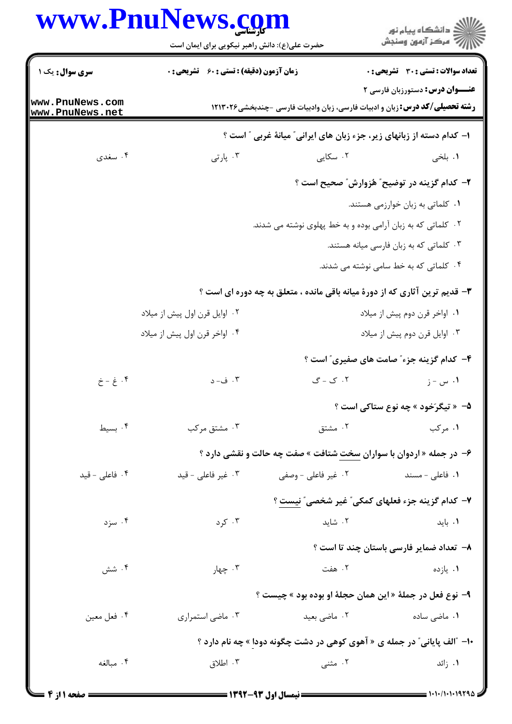## www.PnuNews.com

|                                      | www.PnuNews.com<br>حضرت علی(ع): دانش راهبر نیکویی برای ایمان است                                                      |                     | ڪ دانشڪاه پيام نور<br>۾ سرڪز آزمون وسنڊش                                                                                     |  |
|--------------------------------------|-----------------------------------------------------------------------------------------------------------------------|---------------------|------------------------------------------------------------------------------------------------------------------------------|--|
| <b>سری سوال :</b> یک ۱               | <b>زمان آزمون (دقیقه) : تستی : 60 ٪ تشریحی : 0</b>                                                                    |                     | <b>تعداد سوالات : تستی : 30 ٪ تشریحی : 0</b>                                                                                 |  |
| www.PnuNews.com<br>www.PnuNews.net   |                                                                                                                       |                     | <b>عنـــوان درس:</b> دستورزبان فارسی ۲<br><b>رشته تحصیلی/کد درس:</b> زبان و ادبیات فارسی، زبان وادبیات فارسی -چندبخشی۱۲۱۳۰۲۶ |  |
|                                      |                                                                                                                       |                     | ا– کدام دسته از زبانهای زیر، جزء زبان های ایرانی ؒ میانهٔ غربی ؒ است ؟                                                       |  |
| ۰۴ سغدی                              | ۰۳ پارتی                                                                                                              | ۰۲ سکایی            | ۰۱ بلخی                                                                                                                      |  |
|                                      |                                                                                                                       |                     | <b>۲</b> – کدام گزینه در توضیح ً هُزوارش ً صحیح است ؟                                                                        |  |
|                                      |                                                                                                                       |                     | ۰۱ کلماتی به زبان خوارزمی هستند.                                                                                             |  |
|                                      | ۰۲ کلماتی که به زبان آرامی بوده و به خط پهلوی نوشته می شدند.                                                          |                     |                                                                                                                              |  |
|                                      | ۰۳ کلماتی که به زبان فارسی میانه هستند.                                                                               |                     |                                                                                                                              |  |
|                                      | ۰۴ کلماتی که به خط سامی نوشته می شدند.<br>۳- قدیم ترین آثاری که از دورهٔ میانه باقی مانده ، متعلق به چه دوره ای است ؟ |                     |                                                                                                                              |  |
|                                      |                                                                                                                       |                     |                                                                                                                              |  |
|                                      | ۰۲ اوایل قرن اول پیش از میلاد                                                                                         |                     | ۰۱ اواخر قرن دوم پیش از میلاد                                                                                                |  |
|                                      | ۰۴ اواخر قرن اول پیش از میلاد                                                                                         |                     | ۰۳ اوایل قرن دوم پیش از میلاد                                                                                                |  |
|                                      |                                                                                                                       |                     | ۴- کدام گزینه جزء ؓ صامت های صفیری ؓ است ؟                                                                                   |  |
| $\dot{\zeta}$ - غ - خ $\ddot{\zeta}$ | ۰۳ ف- د                                                                                                               | ۲. ک - گ            | ۰۱ س - ز                                                                                                                     |  |
|                                      |                                                                                                                       |                     | <b>۵</b> - « تیگرَخود » چه نوع ستاکی است ؟                                                                                   |  |
| ۰۴ بسیط                              | ۰۳ مشتق مرکب                                                                                                          | ۰۲ مشتق             | ۰۱ مرکب                                                                                                                      |  |
|                                      |                                                                                                                       |                     | ۶- در جمله « اردوان با سواران سخت شتافت » صفت چه حالت و نقشی دارد ؟                                                          |  |
| ۰۴ فاعلی - قید                       | ۰۳ غیر فاعلی - قید                                                                                                    | ۰۲ غیر فاعلی - وصفی | ۰۱ فاعل <sub>ی</sub> - مسند                                                                                                  |  |
|                                      |                                                                                                                       |                     | ۷– کدام گزینه جزء فعلهای کمکی" غیر شخصی" نیست ؟                                                                              |  |
| ۰۴ سزد                               | ۰۳ کرد                                                                                                                | ۰۲ شاید             | ۰۱ باید                                                                                                                      |  |
|                                      |                                                                                                                       |                     | ۸– تعداد ضمایر فارسی باستان چند تا است ؟                                                                                     |  |
| ۰۴ شش                                | ۰۳ چهار                                                                                                               | ۲. هفت              | ۰۱ يازده                                                                                                                     |  |
|                                      |                                                                                                                       |                     | ۹– نوع فعل در جملهٔ « این همان حجلهٔ او بوده بود » چیست ؟                                                                    |  |
| ۰۴ فعل معين                          | ۰۳ ماضی استمراری                                                                                                      | ۰۲ ماضی بعید        | ۰۱ ماض <sub>ی</sub> ساده                                                                                                     |  |
|                                      |                                                                                                                       |                     | ۱۰- آالف پایانی ؒ در جمله ی « آهوی کوهی در دشت چگونه دودا » چه نام دارد ؟                                                    |  |
| ۰۴ مىالغه                            | ۰۳ اطلاق                                                                                                              | ۰۲ مثنی             | ۰۱ زائد                                                                                                                      |  |
|                                      |                                                                                                                       |                     |                                                                                                                              |  |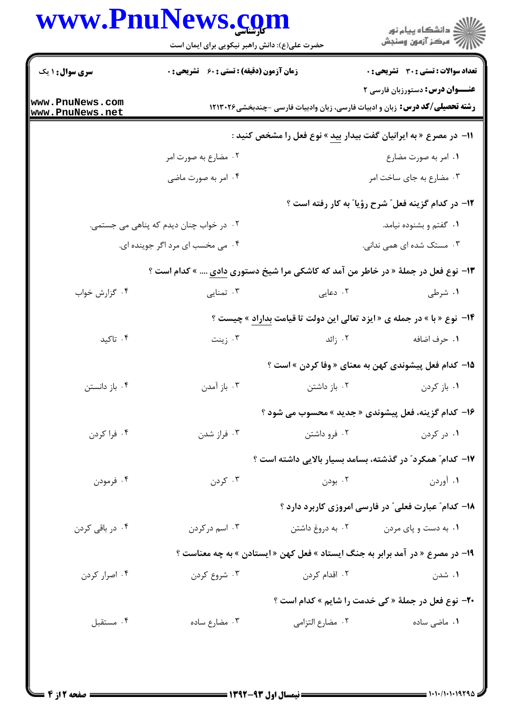## www.PnuNews.com

|                                                                          | www.PnuNews.com<br>حضرت علی(ع): دانش راهبر نیکویی برای ایمان است                       |                                                                               | ر<br>دانشگاه پيام نور<br>ا∛ مرکز آزمون وسنجش                                                                         |  |  |
|--------------------------------------------------------------------------|----------------------------------------------------------------------------------------|-------------------------------------------------------------------------------|----------------------------------------------------------------------------------------------------------------------|--|--|
| <b>سری سوال : ۱ یک</b>                                                   | <b>زمان آزمون (دقیقه) : تستی : 60 ٪ تشریحی : 0</b>                                     |                                                                               | <b>تعداد سوالات : تستی : 30 ٪ تشریحی : 0</b>                                                                         |  |  |
| www.PnuNews.com<br>www.PnuNews.net                                       |                                                                                        |                                                                               | عنـــوان درس: دستورزبان فارسی ۲<br><b>رشته تحصیلی/کد درس:</b> زبان و ادبیات فارسی، زبان وادبیات فارسی -چندبخشی۲۱۳۰۲۶ |  |  |
| ۱۱− در مصرع « به ایرانیان گفت بیدار ب <u>ید</u> » نوع فعل را مشخص کنید : |                                                                                        |                                                                               |                                                                                                                      |  |  |
|                                                                          | ۰۲ مضارع به صورت امر                                                                   |                                                                               | ٠١. امر به صورت مضارع                                                                                                |  |  |
|                                                                          | ۰۴ امر به صورت ماضی                                                                    |                                                                               | ۰۳ مضارع به جای ساخت امر                                                                                             |  |  |
|                                                                          |                                                                                        |                                                                               | ۱۲– در کدام گزینه فعل ؒ شرح رؤیا ؒ به کار رفته است ؟                                                                 |  |  |
|                                                                          | ۰۲ در خواب چنان دیدم که پناهی می جستمی.                                                |                                                                               | ۰۱ گفتم و بشنوده نیامد.                                                                                              |  |  |
|                                                                          | ۰۴ می مخسب ای مرد اگر جوینده ای.                                                       |                                                                               | ۰۳ مستک شده ای همی ندانی.                                                                                            |  |  |
|                                                                          | ۱۳- نوع فعل در جملهٔ « در خاطر من آمد که کاشکی مرا شیخ دستوری <u>دادی</u> » کدام است ؟ |                                                                               |                                                                                                                      |  |  |
| ۰۴ گزارش خواب                                                            | ۰۳ تمنایی                                                                              | ۰۲ دعایی                                                                      | ۰۱ شرطی                                                                                                              |  |  |
|                                                                          | ۱۴- نوع «با » در جمله ی «ایزد تعالی این دولت تا قیامت بداراد » چیست ؟                  |                                                                               |                                                                                                                      |  |  |
| ۰۴ تاکید                                                                 | ۰۳ زينت                                                                                | ۰۲ زائد                                                                       | ٠١ حرف اضافه                                                                                                         |  |  |
|                                                                          |                                                                                        |                                                                               | ۱۵– کدام فعل پیشوندی کهن به معنای « وفا کردن » است ؟                                                                 |  |  |
| ۰۴ باز دانستن                                                            | ۰۳ باز آمدن                                                                            |                                                                               | ۰ <b>۱</b> باز کردن مسلمان ۲۰ باز داشتن                                                                              |  |  |
|                                                                          |                                                                                        | ۱۶- کدام گزینه، فعل پیشوندی « جدید » محسوب می شود ؟                           |                                                                                                                      |  |  |
| ۰۴ فرا کردن                                                              | ۰۳ فراز شدن                                                                            | ۰۲ فرو داشتن                                                                  | ۰۱ در کردن                                                                                                           |  |  |
|                                                                          |                                                                                        | ۱۷– کدام ؓ همکرد ؓ در گذشته، بسامد بسیار بالایی داشته است ؟                   |                                                                                                                      |  |  |
| ۰۴ فرمودن                                                                | ۰۳ کردن                                                                                | ۰۲ بودن                                                                       | ۰۱ آوردن                                                                                                             |  |  |
|                                                                          |                                                                                        |                                                                               | ۱۸– کدام ؒ عبارت فعلی ؒ در فارسی امروزی کاربرد دارد ؟                                                                |  |  |
| ۰۴ در باقی کردن                                                          | ۰۳ اسم در کردن                                                                         | ۰۲ به دروغ داشتن                                                              | ۰۱ به دست و پای مردن                                                                                                 |  |  |
|                                                                          |                                                                                        | ۱۹- در مصرع « در آمد برابر به جنگ ایستاد » فعل کهن « ایستادن » به چه معناست ؟ |                                                                                                                      |  |  |
| ۰۴ اصرار کردن                                                            | ۰۳ شروع کردن                                                                           | ۰۲ اقدام کردن                                                                 | ۰۱ شدن                                                                                                               |  |  |
|                                                                          |                                                                                        |                                                                               | <b>70- نوع فعل در جملهٔ « کی خدمت را شایم » کدام است ؟</b>                                                           |  |  |
| ۰۴ مستقبل                                                                | ۰۳ مضارع ساده                                                                          | ٠٢ مضارع التزامي                                                              | ۰۱ ماضی ساده                                                                                                         |  |  |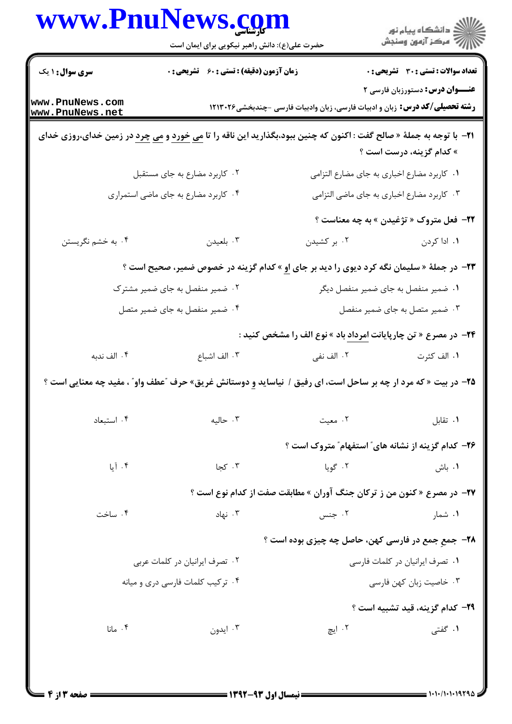|                                    | www.PnuNews.com<br>حضرت علی(ع): دانش راهبر نیکویی برای ایمان است                                                                                |             | ڪ دانشڪاه پيام نور<br>//> مرڪز آزمون وسنڊش                                                                                  |
|------------------------------------|-------------------------------------------------------------------------------------------------------------------------------------------------|-------------|-----------------------------------------------------------------------------------------------------------------------------|
| <b>سری سوال : ۱ یک</b>             | زمان آزمون (دقیقه) : تستی : 60 گشریحی : 0                                                                                                       |             | <b>تعداد سوالات : تستی : 30 ٪ تشریحی : 0</b>                                                                                |
| www.PnuNews.com<br>www.PnuNews.net |                                                                                                                                                 |             | <b>عنـــوان درس:</b> دستورزبان فارسی ۲<br><b>رشته تحصیلی/کد درس:</b> زبان و ادبیات فارسی، زبان وادبیات فارسی -چندبخشی۲۱۳۰۲۶ |
|                                    | <mark>۲۱</mark> - با توجه به جملهٔ « صالح گفت : اکنون که چنین ببود،بگذارید این ناقه را تا <u>می خورد</u> و <u>می چرد</u> در زمین خدای،روزی خدای |             | » کدام گزینه، درست است ؟                                                                                                    |
|                                    | ۰۲ کاربرد مضارع به جای مستقبل                                                                                                                   |             | ٠١ كاربرد مضارع اخبارى به جاى مضارع التزامى                                                                                 |
|                                    | ۰۴ کاربرد مضارع به جای ماضی استمراری                                                                                                            |             | ۰۳ کاربرد مضارع اخباری به جای ماضی التزامی                                                                                  |
|                                    |                                                                                                                                                 |             | <b>۲۲- فعل متروک « تژغیدن » به چه معناست</b> ؟                                                                              |
| ۰۴ به خشم نگریستن                  | ۰۳ بلعیدن                                                                                                                                       | ۰۲ بر کشیدن | ۰۱. ادا کردن                                                                                                                |
|                                    | <b>۲۳</b> - در جملهٔ « سلیمان نگه کرد دیوی را دید بر جای او » کدام گزینه در خصوص ضمیر، صحیح است ؟                                               |             |                                                                                                                             |
|                                    | ۰۲ ضمیر منفصل به جای ضمیر مشترک                                                                                                                 |             | ۰۱ ضمیر منفصل به جای ضمیر منفصل دیگر                                                                                        |
|                                    | ۰۴ ضمیر منفصل به جای ضمیر متصل                                                                                                                  |             | ۰۳ ضمیر متصل به جای ضمیر منفصل                                                                                              |
|                                    |                                                                                                                                                 |             | <b>۳۴</b> – در مصرع « تن چارپایانت امرداد باد » نوع الف را مشخص کنید :                                                      |
| ۰۴ الف ندبه                        | ۰۳ الف اشباع                                                                                                                                    | ۰۲ الف نفی  | ۰۱ الف کثرت                                                                                                                 |
|                                    | <b>۲۵</b> – در بیت « که مرد ار چه بر ساحل است، ای رفیق / نیاساید و دوستانش غریق» حرف <sup>"</sup> عطف واو <sup>"</sup> ، مفید چه معنایی است ؟   |             |                                                                                                                             |
| ۰۴ استبعاد                         | ۰۳ حالیه                                                                                                                                        | ۰۲ معیت     | ٠١ تقابل                                                                                                                    |
|                                    |                                                                                                                                                 |             | <b>۲۶</b> - کدام گزینه از نشانه های ً استفهام ً متروک است ؟                                                                 |
| $L$ آبا $\tilde{ }$                | ۰۳ کجا                                                                                                                                          | ۰۲ گویا     | ۰۱ باش                                                                                                                      |
|                                    | <b>37- در مصرع « کنون من ز ترکان جنگ آوران » مطابقت صفت از کدام نوع است ؟</b>                                                                   |             |                                                                                                                             |
| ۰۴ ساخت                            | ۰۳ نهاد                                                                                                                                         | ۰۲ جنس      | ۰۱ شمار                                                                                                                     |
|                                    |                                                                                                                                                 |             | ۲۸- جمع جمع در فارسی کهن، حاصل چه چیزی بوده است ؟                                                                           |
| ۰۲ تصرف ایرانیان در کلمات عربی     |                                                                                                                                                 |             | ٠١ تصرف ايرانيان در كلمات فارسى                                                                                             |
|                                    | ۰۴ ترکیب کلمات فارسی دری و میانه                                                                                                                |             | ۰۳ خاصیت زبان کهن فارسی                                                                                                     |
|                                    |                                                                                                                                                 |             | <b>٢٩</b> - كدام گزينه، قيد تشبيه است ؟                                                                                     |
| ۰۴ مانا                            | ۰۳ ایدون                                                                                                                                        | ۲. ایچ      | ۰۱ گفتی                                                                                                                     |
|                                    |                                                                                                                                                 |             |                                                                                                                             |
|                                    |                                                                                                                                                 |             |                                                                                                                             |